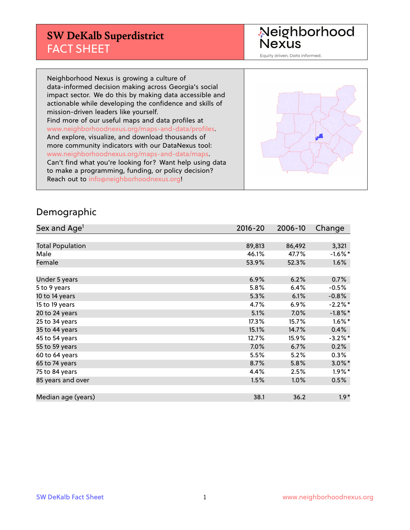### **SW DeKalb Superdistrict** FACT SHEET

Neighborhood<br>Nexus

Equity driven. Data informed.

Neighborhood Nexus is growing a culture of data-informed decision making across Georgia's social impact sector. We do this by making data accessible and actionable while developing the confidence and skills of mission-driven leaders like yourself. Find more of our useful maps and data profiles at www.neighborhoodnexus.org/maps-and-data/profiles. And explore, visualize, and download thousands of more community indicators with our DataNexus tool: www.neighborhoodnexus.org/maps-and-data/maps. Can't find what you're looking for? Want help using data to make a programming, funding, or policy decision? Reach out to [info@neighborhoodnexus.org!](mailto:info@neighborhoodnexus.org)

#### Demographic

| Sex and Age <sup>1</sup> | $2016 - 20$ | 2006-10 | Change               |
|--------------------------|-------------|---------|----------------------|
|                          |             |         |                      |
| <b>Total Population</b>  | 89,813      | 86,492  | 3,321                |
| Male                     | 46.1%       | 47.7%   | $-1.6\%$ *           |
| Female                   | 53.9%       | 52.3%   | 1.6%                 |
|                          |             |         |                      |
| Under 5 years            | 6.9%        | 6.2%    | 0.7%                 |
| 5 to 9 years             | 5.8%        | 6.4%    | $-0.5%$              |
| 10 to 14 years           | 5.3%        | 6.1%    | $-0.8\%$             |
| 15 to 19 years           | 4.7%        | 6.9%    | $-2.2\%$ *           |
| 20 to 24 years           | 5.1%        | 7.0%    | $-1.8\%$ *           |
| 25 to 34 years           | 17.3%       | 15.7%   | $1.6\%$ *            |
| 35 to 44 years           | 15.1%       | 14.7%   | 0.4%                 |
| 45 to 54 years           | 12.7%       | 15.9%   | $-3.2\%$ *           |
| 55 to 59 years           | 7.0%        | 6.7%    | 0.2%                 |
| 60 to 64 years           | 5.5%        | 5.2%    | $0.3\%$              |
| 65 to 74 years           | 8.7%        | 5.8%    | $3.0\%$ <sup>*</sup> |
| 75 to 84 years           | 4.4%        | 2.5%    | $1.9\%$ *            |
| 85 years and over        | 1.5%        | 1.0%    | 0.5%                 |
|                          |             |         |                      |
| Median age (years)       | 38.1        | 36.2    | $1.9*$               |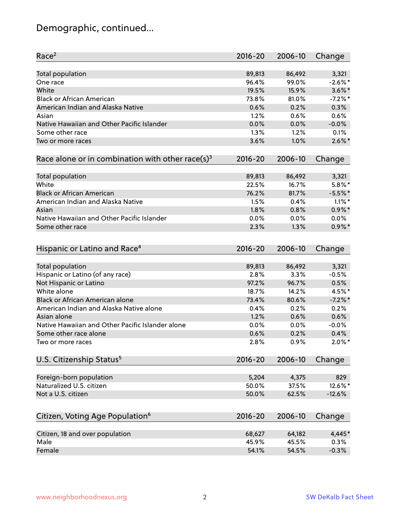# Demographic, continued...

| Race <sup>2</sup>                                            | $2016 - 20$ | 2006-10 | Change    |
|--------------------------------------------------------------|-------------|---------|-----------|
| <b>Total population</b>                                      | 89,813      | 86,492  | 3,321     |
| One race                                                     | 96.4%       | 99.0%   | $-2.6%$ * |
| White                                                        | 19.5%       | 15.9%   | $3.6\%$ * |
| <b>Black or African American</b>                             | 73.8%       | 81.0%   | $-7.2%$ * |
| American Indian and Alaska Native                            | 0.6%        | 0.2%    | 0.3%      |
| Asian                                                        | 1.2%        | 0.6%    | 0.6%      |
| Native Hawaiian and Other Pacific Islander                   | 0.0%        | 0.0%    | $-0.0%$   |
| Some other race                                              | 1.3%        | 1.2%    | 0.1%      |
| Two or more races                                            | 3.6%        | 1.0%    | $2.6\%$ * |
| Race alone or in combination with other race(s) <sup>3</sup> | $2016 - 20$ | 2006-10 | Change    |
| Total population                                             | 89,813      | 86,492  | 3,321     |
| White                                                        | 22.5%       | 16.7%   | $5.8\%$ * |
| <b>Black or African American</b>                             | 76.2%       | 81.7%   | $-5.5%$ * |
| American Indian and Alaska Native                            | 1.5%        | 0.4%    | $1.1\%$ * |
| Asian                                                        | 1.8%        | 0.8%    | $0.9\%$ * |
| Native Hawaiian and Other Pacific Islander                   | 0.0%        | 0.0%    | $0.0\%$   |
| Some other race                                              | 2.3%        | 1.3%    | $0.9\%$ * |
|                                                              |             |         |           |
| Hispanic or Latino and Race <sup>4</sup>                     | $2016 - 20$ | 2006-10 | Change    |
| <b>Total population</b>                                      | 89,813      | 86,492  | 3,321     |
| Hispanic or Latino (of any race)                             | 2.8%        | 3.3%    | $-0.5%$   |
| Not Hispanic or Latino                                       | 97.2%       | 96.7%   | 0.5%      |
| White alone                                                  | 18.7%       | 14.2%   | 4.5%*     |
| <b>Black or African American alone</b>                       | 73.4%       | 80.6%   | $-7.2%$ * |
| American Indian and Alaska Native alone                      | 0.4%        | 0.2%    | 0.2%      |
| Asian alone                                                  | 1.2%        | 0.6%    | 0.6%      |
| Native Hawaiian and Other Pacific Islander alone             | 0.0%        | 0.0%    | $-0.0%$   |
| Some other race alone                                        | 0.6%        | 0.2%    | 0.4%      |
| Two or more races                                            | 2.8%        | 0.9%    | $2.0\%$ * |
| U.S. Citizenship Status <sup>5</sup>                         | $2016 - 20$ | 2006-10 | Change    |
|                                                              |             |         |           |
| Foreign-born population                                      | 5,204       | 4,375   | 829       |
| Naturalized U.S. citizen                                     | 50.0%       | 37.5%   | 12.6%*    |
| Not a U.S. citizen                                           | 50.0%       | 62.5%   | $-12.6%$  |
| Citizen, Voting Age Population <sup>6</sup>                  | $2016 - 20$ | 2006-10 | Change    |
| Citizen, 18 and over population                              | 68,627      | 64,182  | 4,445*    |
| Male                                                         | 45.9%       | 45.5%   | 0.3%      |
| Female                                                       | 54.1%       | 54.5%   | $-0.3%$   |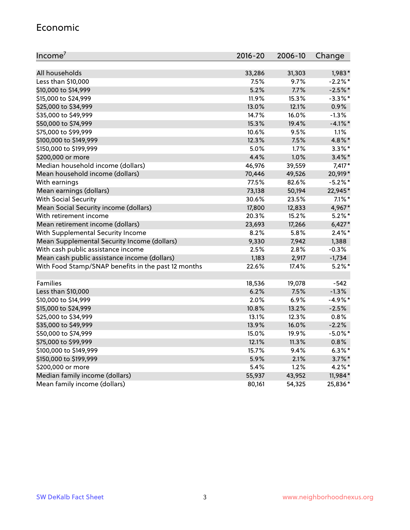#### Economic

| Income <sup>7</sup>                                 | $2016 - 20$ | 2006-10 | Change     |
|-----------------------------------------------------|-------------|---------|------------|
|                                                     |             |         |            |
| All households                                      | 33,286      | 31,303  | 1,983*     |
| Less than \$10,000                                  | 7.5%        | 9.7%    | $-2.2\%$ * |
| \$10,000 to \$14,999                                | 5.2%        | 7.7%    | $-2.5%$ *  |
| \$15,000 to \$24,999                                | 11.9%       | 15.3%   | $-3.3\%$ * |
| \$25,000 to \$34,999                                | 13.0%       | 12.1%   | $0.9\%$    |
| \$35,000 to \$49,999                                | 14.7%       | 16.0%   | $-1.3%$    |
| \$50,000 to \$74,999                                | 15.3%       | 19.4%   | $-4.1\%$ * |
| \$75,000 to \$99,999                                | 10.6%       | 9.5%    | 1.1%       |
| \$100,000 to \$149,999                              | 12.3%       | 7.5%    | 4.8%*      |
| \$150,000 to \$199,999                              | 5.0%        | 1.7%    | $3.3\%$ *  |
| \$200,000 or more                                   | 4.4%        | 1.0%    | $3.4\%$ *  |
| Median household income (dollars)                   | 46,976      | 39,559  | $7,417*$   |
| Mean household income (dollars)                     | 70,446      | 49,526  | 20,919*    |
| With earnings                                       | 77.5%       | 82.6%   | $-5.2\%$ * |
| Mean earnings (dollars)                             | 73,138      | 50,194  | 22,945*    |
| <b>With Social Security</b>                         | 30.6%       | 23.5%   | $7.1\%$ *  |
| Mean Social Security income (dollars)               | 17,800      | 12,833  | 4,967*     |
| With retirement income                              | 20.3%       | 15.2%   | $5.2\%$ *  |
| Mean retirement income (dollars)                    | 23,693      | 17,266  | $6,427*$   |
| With Supplemental Security Income                   | 8.2%        | 5.8%    | $2.4\%$ *  |
| Mean Supplemental Security Income (dollars)         | 9,330       | 7,942   | 1,388      |
| With cash public assistance income                  | 2.5%        | 2.8%    | $-0.3%$    |
| Mean cash public assistance income (dollars)        | 1,183       | 2,917   | $-1,734$   |
| With Food Stamp/SNAP benefits in the past 12 months | 22.6%       | 17.4%   | $5.2\%$ *  |
|                                                     |             |         |            |
| Families                                            | 18,536      | 19,078  | $-542$     |
| Less than \$10,000                                  | 6.2%        | 7.5%    | $-1.3%$    |
| \$10,000 to \$14,999                                | 2.0%        | 6.9%    | $-4.9%$ *  |
| \$15,000 to \$24,999                                | 10.8%       | 13.2%   | $-2.5%$    |
| \$25,000 to \$34,999                                | 13.1%       | 12.3%   | 0.8%       |
| \$35,000 to \$49,999                                | 13.9%       | 16.0%   | $-2.2%$    |
| \$50,000 to \$74,999                                | 15.0%       | 19.9%   | $-5.0\%$ * |
| \$75,000 to \$99,999                                | 12.1%       | 11.3%   | 0.8%       |
| \$100,000 to \$149,999                              | 15.7%       | 9.4%    | $6.3\%$ *  |
| \$150,000 to \$199,999                              | 5.9%        | 2.1%    | $3.7\%$ *  |
| \$200,000 or more                                   | 5.4%        | 1.2%    | 4.2%*      |
| Median family income (dollars)                      | 55,937      | 43,952  | 11,984*    |
| Mean family income (dollars)                        | 80,161      | 54,325  | 25,836*    |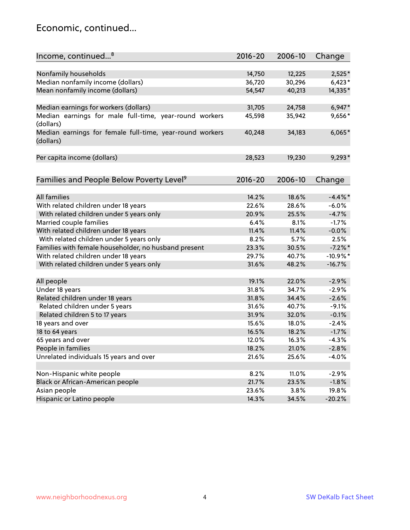#### Economic, continued...

| Income, continued <sup>8</sup>                                        | $2016 - 20$ | 2006-10 | Change     |
|-----------------------------------------------------------------------|-------------|---------|------------|
|                                                                       |             |         |            |
| Nonfamily households                                                  | 14,750      | 12,225  | 2,525*     |
| Median nonfamily income (dollars)                                     | 36,720      | 30,296  | $6,423*$   |
| Mean nonfamily income (dollars)                                       | 54,547      | 40,213  | 14,335*    |
| Median earnings for workers (dollars)                                 | 31,705      | 24,758  | $6,947*$   |
| Median earnings for male full-time, year-round workers                | 45,598      | 35,942  | 9,656*     |
| (dollars)                                                             |             |         |            |
| Median earnings for female full-time, year-round workers<br>(dollars) | 40,248      | 34,183  | $6,065*$   |
| Per capita income (dollars)                                           | 28,523      | 19,230  | $9,293*$   |
|                                                                       |             |         |            |
| Families and People Below Poverty Level <sup>9</sup>                  | $2016 - 20$ | 2006-10 | Change     |
|                                                                       |             |         |            |
| <b>All families</b>                                                   | 14.2%       | 18.6%   | $-4.4\%$ * |
| With related children under 18 years                                  | 22.6%       | 28.6%   | $-6.0%$    |
| With related children under 5 years only                              | 20.9%       | 25.5%   | $-4.7%$    |
| Married couple families                                               | 6.4%        | 8.1%    | $-1.7%$    |
| With related children under 18 years                                  | 11.4%       | 11.4%   | $-0.0%$    |
| With related children under 5 years only                              | 8.2%        | 5.7%    | 2.5%       |
| Families with female householder, no husband present                  | 23.3%       | 30.5%   | $-7.2%$    |
| With related children under 18 years                                  | 29.7%       | 40.7%   | $-10.9%$ * |
| With related children under 5 years only                              | 31.6%       | 48.2%   | $-16.7%$   |
|                                                                       |             |         |            |
| All people                                                            | 19.1%       | 22.0%   | $-2.9%$    |
| Under 18 years                                                        | 31.8%       | 34.7%   | $-2.9%$    |
| Related children under 18 years                                       | 31.8%       | 34.4%   | $-2.6%$    |
| Related children under 5 years                                        | 31.6%       | 40.7%   | $-9.1%$    |
| Related children 5 to 17 years                                        | 31.9%       | 32.0%   | $-0.1%$    |
| 18 years and over                                                     | 15.6%       | 18.0%   | $-2.4%$    |
| 18 to 64 years                                                        | 16.5%       | 18.2%   | $-1.7%$    |
| 65 years and over                                                     | 12.0%       | 16.3%   | $-4.3%$    |
| People in families                                                    | 18.2%       | 21.0%   | $-2.8%$    |
| Unrelated individuals 15 years and over                               | 21.6%       | 25.6%   | $-4.0%$    |
|                                                                       |             |         |            |
| Non-Hispanic white people                                             | 8.2%        | 11.0%   | $-2.9%$    |
| Black or African-American people                                      | 21.7%       | 23.5%   | $-1.8%$    |
| Asian people                                                          | 23.6%       | 3.8%    | 19.8%      |
| Hispanic or Latino people                                             | 14.3%       | 34.5%   | $-20.2%$   |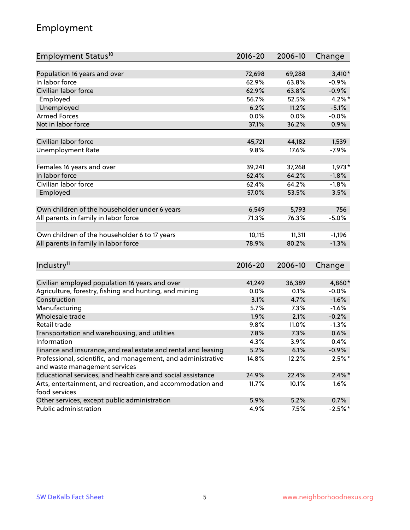# Employment

| Employment Status <sup>10</sup>                                             | $2016 - 20$ | 2006-10 | Change    |
|-----------------------------------------------------------------------------|-------------|---------|-----------|
|                                                                             |             |         |           |
| Population 16 years and over                                                | 72,698      | 69,288  | $3,410*$  |
| In labor force                                                              | 62.9%       | 63.8%   | $-0.9%$   |
| Civilian labor force                                                        | 62.9%       | 63.8%   | $-0.9%$   |
| Employed                                                                    | 56.7%       | 52.5%   | $4.2\%$ * |
| Unemployed                                                                  | 6.2%        | 11.2%   | $-5.1%$   |
| <b>Armed Forces</b>                                                         | 0.0%        | 0.0%    | $-0.0%$   |
| Not in labor force                                                          | 37.1%       | 36.2%   | 0.9%      |
|                                                                             |             |         |           |
| Civilian labor force                                                        | 45,721      | 44,182  | 1,539     |
| <b>Unemployment Rate</b>                                                    | 9.8%        | 17.6%   | $-7.9%$   |
| Females 16 years and over                                                   | 39,241      | 37,268  | $1,973*$  |
| In labor force                                                              | 62.4%       | 64.2%   | $-1.8%$   |
| Civilian labor force                                                        | 62.4%       | 64.2%   | $-1.8%$   |
| Employed                                                                    | 57.0%       | 53.5%   | 3.5%      |
|                                                                             |             |         |           |
| Own children of the householder under 6 years                               | 6,549       | 5,793   | 756       |
| All parents in family in labor force                                        | 71.3%       | 76.3%   | $-5.0%$   |
|                                                                             |             |         |           |
| Own children of the householder 6 to 17 years                               | 10,115      | 11,311  | $-1,196$  |
| All parents in family in labor force                                        | 78.9%       | 80.2%   | $-1.3%$   |
|                                                                             |             |         |           |
| Industry <sup>11</sup>                                                      | $2016 - 20$ | 2006-10 | Change    |
|                                                                             |             |         |           |
| Civilian employed population 16 years and over                              | 41,249      | 36,389  | 4,860*    |
| Agriculture, forestry, fishing and hunting, and mining                      | 0.0%        | 0.1%    | $-0.0%$   |
| Construction                                                                | 3.1%        | 4.7%    | $-1.6%$   |
| Manufacturing                                                               | 5.7%        | 7.3%    | $-1.6%$   |
| Wholesale trade                                                             | 1.9%        | 2.1%    | $-0.2%$   |
| Retail trade                                                                | 9.8%        | 11.0%   | $-1.3%$   |
| Transportation and warehousing, and utilities                               | 7.8%        | 7.3%    | 0.6%      |
| Information                                                                 | 4.3%        | 3.9%    | 0.4%      |
| Finance and insurance, and real estate and rental and leasing               | 5.2%        | 6.1%    | $-0.9\%$  |
| Professional, scientific, and management, and administrative                | 14.8%       | 12.2%   | $2.5%$ *  |
| and waste management services                                               |             |         |           |
| Educational services, and health care and social assistance                 | 24.9%       | 22.4%   | $2.4\%$ * |
| Arts, entertainment, and recreation, and accommodation and<br>food services | 11.7%       | 10.1%   | 1.6%      |
| Other services, except public administration                                | 5.9%        | 5.2%    | 0.7%      |
| Public administration                                                       | 4.9%        | 7.5%    | $-2.5%$ * |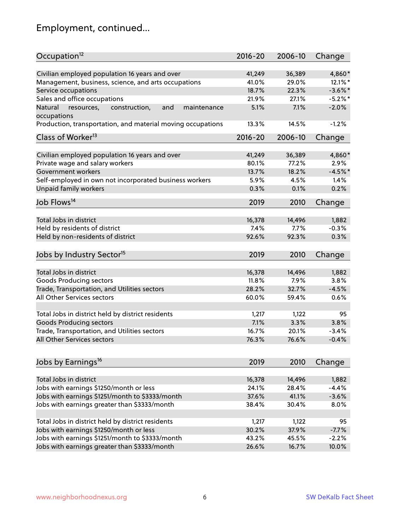# Employment, continued...

| Occupation <sup>12</sup>                                    | $2016 - 20$ | 2006-10 | Change           |
|-------------------------------------------------------------|-------------|---------|------------------|
| Civilian employed population 16 years and over              | 41,249      | 36,389  | 4,860*           |
| Management, business, science, and arts occupations         | 41.0%       | 29.0%   | 12.1%*           |
| Service occupations                                         | 18.7%       | 22.3%   | $-3.6\%$ *       |
| Sales and office occupations                                | 21.9%       | 27.1%   | $-5.2\%$ *       |
| and<br>maintenance<br>Natural                               | 5.1%        | 7.1%    | $-2.0%$          |
| resources,<br>construction,<br>occupations                  |             |         |                  |
| Production, transportation, and material moving occupations | 13.3%       | 14.5%   | $-1.2%$          |
| Class of Worker <sup>13</sup>                               | $2016 - 20$ | 2006-10 | Change           |
| Civilian employed population 16 years and over              | 41,249      | 36,389  | 4,860*           |
| Private wage and salary workers                             | 80.1%       | 77.2%   | 2.9%             |
| Government workers                                          | 13.7%       | 18.2%   | $-4.5%$ *        |
|                                                             | 5.9%        | 4.5%    | 1.4%             |
| Self-employed in own not incorporated business workers      |             |         | 0.2%             |
| Unpaid family workers                                       | 0.3%        | 0.1%    |                  |
| Job Flows <sup>14</sup>                                     | 2019        | 2010    | Change           |
| Total Jobs in district                                      | 16,378      |         |                  |
|                                                             |             | 14,496  | 1,882            |
| Held by residents of district                               | 7.4%        | 7.7%    | $-0.3%$          |
| Held by non-residents of district                           | 92.6%       | 92.3%   | 0.3%             |
| Jobs by Industry Sector <sup>15</sup>                       | 2019        | 2010    | Change           |
| Total Jobs in district                                      | 16,378      | 14,496  | 1,882            |
|                                                             |             | 7.9%    | 3.8%             |
| Goods Producing sectors                                     | 11.8%       |         |                  |
| Trade, Transportation, and Utilities sectors                | 28.2%       | 32.7%   | $-4.5%$          |
| All Other Services sectors                                  | 60.0%       | 59.4%   | 0.6%             |
| Total Jobs in district held by district residents           | 1,217       | 1,122   | 95               |
| <b>Goods Producing sectors</b>                              | 7.1%        | 3.3%    | 3.8%             |
| Trade, Transportation, and Utilities sectors                | 16.7%       | 20.1%   | $-3.4%$          |
| All Other Services sectors                                  | 76.3%       | 76.6%   | $-0.4%$          |
|                                                             |             |         |                  |
| Jobs by Earnings <sup>16</sup>                              | 2019        | 2010    | Change           |
|                                                             |             |         |                  |
| Total Jobs in district                                      | 16,378      | 14,496  | 1,882<br>$-4.4%$ |
| Jobs with earnings \$1250/month or less                     | 24.1%       | 28.4%   |                  |
| Jobs with earnings \$1251/month to \$3333/month             | 37.6%       | 41.1%   | $-3.6%$          |
| Jobs with earnings greater than \$3333/month                | 38.4%       | 30.4%   | 8.0%             |
| Total Jobs in district held by district residents           | 1,217       | 1,122   | 95               |
| Jobs with earnings \$1250/month or less                     | 30.2%       | 37.9%   | $-7.7%$          |
| Jobs with earnings \$1251/month to \$3333/month             | 43.2%       | 45.5%   | $-2.2%$          |
| Jobs with earnings greater than \$3333/month                | 26.6%       | 16.7%   | 10.0%            |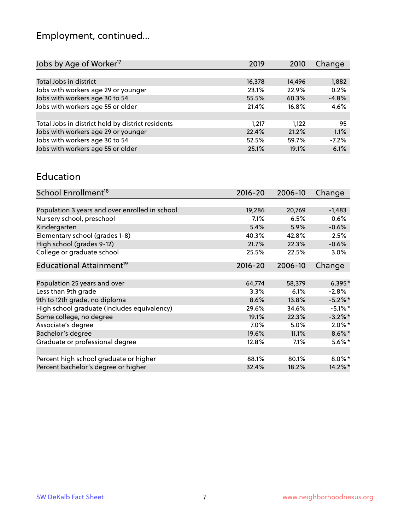# Employment, continued...

| Jobs by Age of Worker <sup>17</sup>               | 2019   | 2010   | Change  |
|---------------------------------------------------|--------|--------|---------|
|                                                   |        |        |         |
| Total Jobs in district                            | 16,378 | 14,496 | 1,882   |
| Jobs with workers age 29 or younger               | 23.1%  | 22.9%  | 0.2%    |
| Jobs with workers age 30 to 54                    | 55.5%  | 60.3%  | $-4.8%$ |
| Jobs with workers age 55 or older                 | 21.4%  | 16.8%  | 4.6%    |
|                                                   |        |        |         |
| Total Jobs in district held by district residents | 1.217  | 1.122  | 95      |
| Jobs with workers age 29 or younger               | 22.4%  | 21.2%  | 1.1%    |
| Jobs with workers age 30 to 54                    | 52.5%  | 59.7%  | $-7.2%$ |
| Jobs with workers age 55 or older                 | 25.1%  | 19.1%  | 6.1%    |
|                                                   |        |        |         |

#### Education

| School Enrollment <sup>18</sup>                | $2016 - 20$ | 2006-10 | Change     |
|------------------------------------------------|-------------|---------|------------|
|                                                |             |         |            |
| Population 3 years and over enrolled in school | 19,286      | 20,769  | $-1,483$   |
| Nursery school, preschool                      | 7.1%        | 6.5%    | 0.6%       |
| Kindergarten                                   | 5.4%        | 5.9%    | $-0.6%$    |
| Elementary school (grades 1-8)                 | 40.3%       | 42.8%   | $-2.5%$    |
| High school (grades 9-12)                      | 21.7%       | 22.3%   | $-0.6%$    |
| College or graduate school                     | 25.5%       | 22.5%   | $3.0\%$    |
| Educational Attainment <sup>19</sup>           | $2016 - 20$ | 2006-10 | Change     |
|                                                |             |         |            |
| Population 25 years and over                   | 64,774      | 58,379  | $6,395*$   |
| Less than 9th grade                            | 3.3%        | 6.1%    | $-2.8%$    |
| 9th to 12th grade, no diploma                  | 8.6%        | 13.8%   | $-5.2%$ *  |
| High school graduate (includes equivalency)    | 29.6%       | 34.6%   | $-5.1\%$ * |
| Some college, no degree                        | 19.1%       | 22.3%   | $-3.2%$ *  |
| Associate's degree                             | 7.0%        | $5.0\%$ | $2.0\%$ *  |
| Bachelor's degree                              | 19.6%       | 11.1%   | $8.6\%$ *  |
| Graduate or professional degree                | 12.8%       | 7.1%    | $5.6\%$ *  |
|                                                |             |         |            |
| Percent high school graduate or higher         | 88.1%       | 80.1%   | $8.0\%$ *  |
| Percent bachelor's degree or higher            | 32.4%       | 18.2%   | 14.2%*     |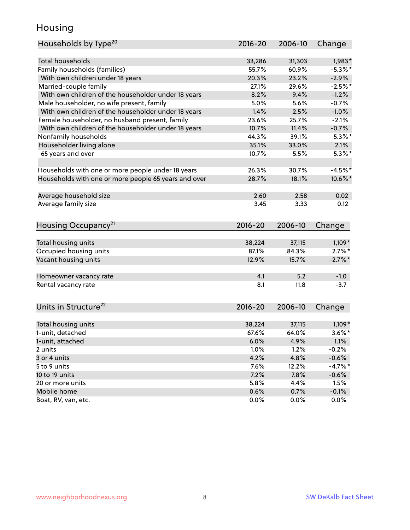#### Housing

| Households by Type <sup>20</sup>                     | 2016-20         | 2006-10         | Change                |
|------------------------------------------------------|-----------------|-----------------|-----------------------|
|                                                      |                 |                 |                       |
| Total households                                     | 33,286          | 31,303          | $1,983*$              |
| Family households (families)                         | 55.7%           | 60.9%           | $-5.3\%$ *            |
| With own children under 18 years                     | 20.3%           | 23.2%           | $-2.9%$               |
| Married-couple family                                | 27.1%           | 29.6%           | $-2.5%$ *             |
| With own children of the householder under 18 years  | 8.2%            | 9.4%            | $-1.2%$               |
| Male householder, no wife present, family            | 5.0%            | 5.6%            | $-0.7%$               |
| With own children of the householder under 18 years  | 1.4%            | 2.5%            | $-1.0%$               |
| Female householder, no husband present, family       | 23.6%           | 25.7%           | $-2.1%$               |
| With own children of the householder under 18 years  | 10.7%           | 11.4%           | $-0.7%$               |
| Nonfamily households                                 | 44.3%           | 39.1%           | $5.3\%$ *             |
| Householder living alone                             | 35.1%           | 33.0%           | 2.1%                  |
| 65 years and over                                    | 10.7%           | 5.5%            | $5.3\%$ *             |
| Households with one or more people under 18 years    | 26.3%           | 30.7%           | $-4.5%$               |
| Households with one or more people 65 years and over | 28.7%           | 18.1%           | 10.6%*                |
| Average household size                               | 2.60            | 2.58            | 0.02                  |
| Average family size                                  | 3.45            | 3.33            | 0.12                  |
|                                                      |                 |                 |                       |
| Housing Occupancy <sup>21</sup>                      | $2016 - 20$     | 2006-10         | Change                |
|                                                      |                 |                 |                       |
| Total housing units                                  | 38,224<br>87.1% | 37,115<br>84.3% | $1,109*$<br>$2.7\%$ * |
| Occupied housing units                               |                 | 15.7%           |                       |
| Vacant housing units                                 | 12.9%           |                 | $-2.7\%$ *            |
| Homeowner vacancy rate                               | 4.1             | 5.2             | $-1.0$                |
| Rental vacancy rate                                  | 8.1             | 11.8            | $-3.7$                |
|                                                      |                 |                 |                       |
| Units in Structure <sup>22</sup>                     | 2016-20         | 2006-10         | Change                |
| Total housing units                                  | 38,224          | 37,115          | $1,109*$              |
| 1-unit, detached                                     | 67.6%           | 64.0%           | $3.6\%$ *             |
| 1-unit, attached                                     | 6.0%            | 4.9%            | 1.1%                  |
| 2 units                                              | 1.0%            | 1.2%            | $-0.2%$               |
| 3 or 4 units                                         | 4.2%            | 4.8%            | $-0.6%$               |
| 5 to 9 units                                         | 7.6%            | 12.2%           | $-4.7%$ *             |
| 10 to 19 units                                       | 7.2%            | 7.8%            | $-0.6%$               |
| 20 or more units                                     | 5.8%            | 4.4%            | 1.5%                  |
| Mobile home                                          | 0.6%            | 0.7%            | $-0.1%$               |
| Boat, RV, van, etc.                                  | 0.0%            | 0.0%            | 0.0%                  |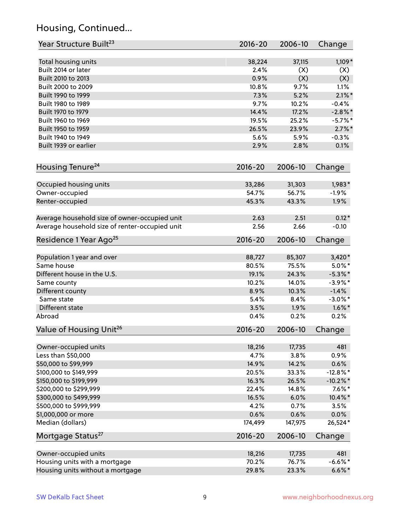# Housing, Continued...

| Year Structure Built <sup>23</sup>             | 2016-20     | 2006-10 | Change      |
|------------------------------------------------|-------------|---------|-------------|
| Total housing units                            | 38,224      | 37,115  | $1,109*$    |
| Built 2014 or later                            | 2.4%        | (X)     | (X)         |
| Built 2010 to 2013                             | 0.9%        | (X)     | (X)         |
| Built 2000 to 2009                             | 10.8%       | 9.7%    | 1.1%        |
| Built 1990 to 1999                             | 7.3%        | 5.2%    | $2.1\%$ *   |
| Built 1980 to 1989                             | 9.7%        | 10.2%   | $-0.4%$     |
| Built 1970 to 1979                             | 14.4%       | 17.2%   | $-2.8\%$ *  |
| Built 1960 to 1969                             | 19.5%       | 25.2%   | $-5.7\%$ *  |
| Built 1950 to 1959                             | 26.5%       | 23.9%   | $2.7\%$ *   |
| Built 1940 to 1949                             | 5.6%        | 5.9%    | $-0.3%$     |
| Built 1939 or earlier                          | 2.9%        | 2.8%    | 0.1%        |
|                                                |             |         |             |
| Housing Tenure <sup>24</sup>                   | $2016 - 20$ | 2006-10 | Change      |
| Occupied housing units                         | 33,286      | 31,303  | $1,983*$    |
| Owner-occupied                                 | 54.7%       | 56.7%   | $-1.9%$     |
| Renter-occupied                                | 45.3%       | 43.3%   | 1.9%        |
| Average household size of owner-occupied unit  | 2.63        | 2.51    | $0.12*$     |
| Average household size of renter-occupied unit | 2.56        | 2.66    | $-0.10$     |
| Residence 1 Year Ago <sup>25</sup>             | $2016 - 20$ | 2006-10 | Change      |
|                                                |             |         |             |
| Population 1 year and over                     | 88,727      | 85,307  | $3,420*$    |
| Same house                                     | 80.5%       | 75.5%   | $5.0\%$ *   |
| Different house in the U.S.                    | 19.1%       | 24.3%   | $-5.3\%$ *  |
| Same county                                    | 10.2%       | 14.0%   | $-3.9\%$ *  |
| Different county                               | 8.9%        | 10.3%   | $-1.4%$     |
| Same state                                     | 5.4%        | 8.4%    | $-3.0\%$ *  |
| Different state                                | 3.5%        | 1.9%    | $1.6\%$ *   |
| Abroad                                         | 0.4%        | 0.2%    | 0.2%        |
| Value of Housing Unit <sup>26</sup>            | 2016-20     | 2006-10 | Change      |
| Owner-occupied units                           | 18,216      | 17,735  | 481         |
| Less than \$50,000                             | 4.7%        | 3.8%    | 0.9%        |
| \$50,000 to \$99,999                           | 14.9%       | 14.2%   | 0.6%        |
| \$100,000 to \$149,999                         | 20.5%       | 33.3%   | $-12.8\%$ * |
| \$150,000 to \$199,999                         | 16.3%       | 26.5%   | $-10.2\%$ * |
| \$200,000 to \$299,999                         | 22.4%       | 14.8%   | $7.6\%*$    |
| \$300,000 to \$499,999                         | 16.5%       | 6.0%    | 10.4%*      |
| \$500,000 to \$999,999                         | 4.2%        | 0.7%    | 3.5%        |
| \$1,000,000 or more                            | 0.6%        | 0.6%    | 0.0%        |
| Median (dollars)                               | 174,499     | 147,975 | 26,524*     |
| Mortgage Status <sup>27</sup>                  | $2016 - 20$ | 2006-10 | Change      |
| Owner-occupied units                           | 18,216      | 17,735  | 481         |
| Housing units with a mortgage                  | 70.2%       | 76.7%   | $-6.6\%$ *  |
| Housing units without a mortgage               | 29.8%       | 23.3%   | $6.6\%*$    |
|                                                |             |         |             |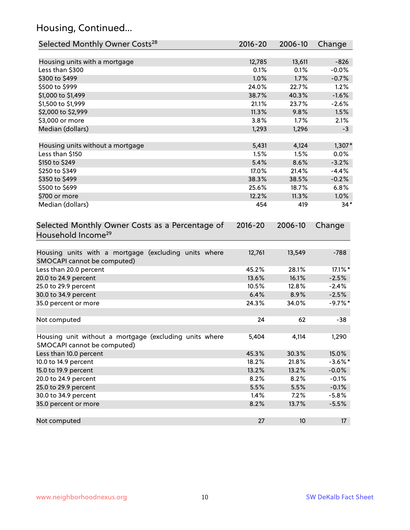# Housing, Continued...

| Selected Monthly Owner Costs <sup>28</sup>                                            | 2016-20     | 2006-10 | Change     |
|---------------------------------------------------------------------------------------|-------------|---------|------------|
| Housing units with a mortgage                                                         | 12,785      | 13,611  | $-826$     |
| Less than \$300                                                                       | 0.1%        | 0.1%    | $-0.0%$    |
| \$300 to \$499                                                                        | 1.0%        | 1.7%    | $-0.7%$    |
| \$500 to \$999                                                                        | 24.0%       | 22.7%   | 1.2%       |
| \$1,000 to \$1,499                                                                    | 38.7%       | 40.3%   | $-1.6%$    |
| \$1,500 to \$1,999                                                                    | 21.1%       | 23.7%   | $-2.6%$    |
| \$2,000 to \$2,999                                                                    | 11.3%       | 9.8%    | 1.5%       |
| \$3,000 or more                                                                       | 3.8%        | 1.7%    | 2.1%       |
| Median (dollars)                                                                      | 1,293       | 1,296   | $-3$       |
|                                                                                       |             |         |            |
| Housing units without a mortgage                                                      | 5,431       | 4,124   | $1,307*$   |
| Less than \$150                                                                       | 1.5%        | 1.5%    | 0.0%       |
| \$150 to \$249                                                                        | 5.4%        | 8.6%    | $-3.2%$    |
| \$250 to \$349                                                                        | 17.0%       | 21.4%   | $-4.4%$    |
| \$350 to \$499                                                                        | 38.3%       | 38.5%   | $-0.2%$    |
| \$500 to \$699                                                                        | 25.6%       | 18.7%   | 6.8%       |
| \$700 or more                                                                         | 12.2%       | 11.3%   | 1.0%       |
| Median (dollars)                                                                      | 454         | 419     | $34*$      |
| Selected Monthly Owner Costs as a Percentage of<br>Household Income <sup>29</sup>     | $2016 - 20$ | 2006-10 | Change     |
| Housing units with a mortgage (excluding units where<br>SMOCAPI cannot be computed)   | 12,761      | 13,549  | $-788$     |
| Less than 20.0 percent                                                                | 45.2%       | 28.1%   | 17.1%*     |
| 20.0 to 24.9 percent                                                                  | 13.6%       | 16.1%   | $-2.5%$    |
| 25.0 to 29.9 percent                                                                  | 10.5%       | 12.8%   | $-2.4%$    |
| 30.0 to 34.9 percent                                                                  | 6.4%        | 8.9%    | $-2.5%$    |
| 35.0 percent or more                                                                  | 24.3%       | 34.0%   | $-9.7%$ *  |
| Not computed                                                                          | 24          | 62      | $-38$      |
| Housing unit without a mortgage (excluding units where<br>SMOCAPI cannot be computed) | 5,404       | 4,114   | 1,290      |
| Less than 10.0 percent                                                                | 45.3%       | 30.3%   | 15.0%      |
| 10.0 to 14.9 percent                                                                  | 18.2%       | 21.8%   | $-3.6\%$ * |
| 15.0 to 19.9 percent                                                                  | 13.2%       | 13.2%   | $-0.0%$    |
| 20.0 to 24.9 percent                                                                  | 8.2%        | 8.2%    | $-0.1%$    |
| 25.0 to 29.9 percent                                                                  | 5.5%        | 5.5%    | $-0.1%$    |
| 30.0 to 34.9 percent                                                                  | 1.4%        | 7.2%    | $-5.8%$    |
| 35.0 percent or more                                                                  | 8.2%        | 13.7%   | $-5.5%$    |
| Not computed                                                                          | 27          | 10      | 17         |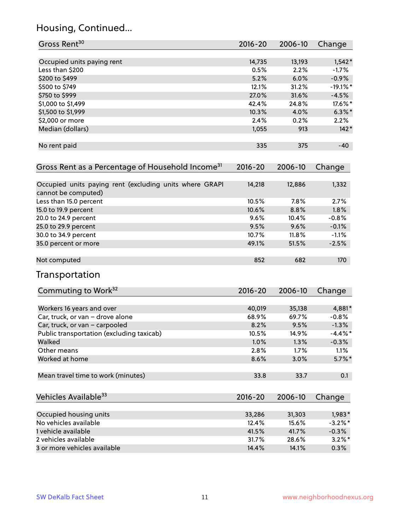# Housing, Continued...

| Gross Rent <sup>30</sup>                                                       | 2016-20     | 2006-10 | Change     |
|--------------------------------------------------------------------------------|-------------|---------|------------|
| Occupied units paying rent                                                     | 14,735      | 13,193  | $1,542*$   |
| Less than \$200                                                                | 0.5%        | 2.2%    | $-1.7\%$   |
| \$200 to \$499                                                                 | 5.2%        | 6.0%    | $-0.9%$    |
| \$500 to \$749                                                                 | 12.1%       | 31.2%   | $-19.1%$   |
| \$750 to \$999                                                                 | 27.0%       | 31.6%   | $-4.5%$    |
| \$1,000 to \$1,499                                                             | 42.4%       | 24.8%   | 17.6%*     |
| \$1,500 to \$1,999                                                             | 10.3%       | 4.0%    | $6.3\%$ *  |
| \$2,000 or more                                                                | 2.4%        | 0.2%    | 2.2%       |
| Median (dollars)                                                               | 1,055       | 913     | $142*$     |
| No rent paid                                                                   | 335         | 375     | $-40$      |
| Gross Rent as a Percentage of Household Income <sup>31</sup>                   | $2016 - 20$ | 2006-10 | Change     |
| Occupied units paying rent (excluding units where GRAPI<br>cannot be computed) | 14,218      | 12,886  | 1,332      |
| Less than 15.0 percent                                                         | 10.5%       | 7.8%    | 2.7%       |
| 15.0 to 19.9 percent                                                           | 10.6%       | 8.8%    | 1.8%       |
| 20.0 to 24.9 percent                                                           | 9.6%        | 10.4%   | $-0.8%$    |
| 25.0 to 29.9 percent                                                           | 9.5%        | 9.6%    | $-0.1%$    |
| 30.0 to 34.9 percent                                                           | 10.7%       | 11.8%   | $-1.1%$    |
| 35.0 percent or more                                                           | 49.1%       | 51.5%   | $-2.5%$    |
| Not computed                                                                   | 852         | 682     | 170        |
| Transportation                                                                 |             |         |            |
| Commuting to Work <sup>32</sup>                                                | 2016-20     | 2006-10 | Change     |
| Workers 16 years and over                                                      | 40,019      | 35,138  | 4,881*     |
| Car, truck, or van - drove alone                                               | 68.9%       | 69.7%   | $-0.8%$    |
| Car, truck, or van - carpooled                                                 | 8.2%        | 9.5%    | $-1.3%$    |
| Public transportation (excluding taxicab)                                      | 10.5%       | 14.9%   | $-4.4\%$ * |
| Walked                                                                         | 1.0%        | 1.3%    | $-0.3%$    |
| Other means                                                                    | 2.8%        | 1.7%    | 1.1%       |
| Worked at home                                                                 | 8.6%        | 3.0%    | $5.7\%$ *  |
| Mean travel time to work (minutes)                                             | 33.8        | 33.7    | 0.1        |
| Vehicles Available <sup>33</sup>                                               | 2016-20     | 2006-10 | Change     |
| Occupied housing units                                                         | 33,286      | 31,303  | 1,983*     |
| No vehicles available                                                          | 12.4%       | 15.6%   | $-3.2\%$ * |
| 1 vehicle available                                                            | 41.5%       | 41.7%   | $-0.3\%$   |
| 2 vehicles available                                                           | 31.7%       | 28.6%   | $3.2\%$ *  |
| 3 or more vehicles available                                                   | 14.4%       | 14.1%   | 0.3%       |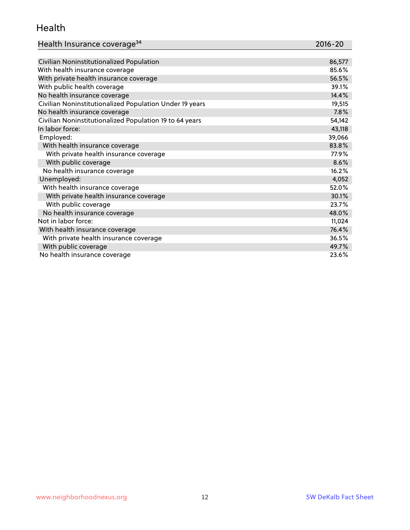#### Health

| Health Insurance coverage <sup>34</sup> | 2016-20 |
|-----------------------------------------|---------|
|-----------------------------------------|---------|

| Civilian Noninstitutionalized Population                | 86,577 |
|---------------------------------------------------------|--------|
| With health insurance coverage                          | 85.6%  |
| With private health insurance coverage                  | 56.5%  |
| With public health coverage                             | 39.1%  |
| No health insurance coverage                            | 14.4%  |
| Civilian Noninstitutionalized Population Under 19 years | 19,515 |
| No health insurance coverage                            | 7.8%   |
| Civilian Noninstitutionalized Population 19 to 64 years | 54,142 |
| In labor force:                                         | 43,118 |
| Employed:                                               | 39,066 |
| With health insurance coverage                          | 83.8%  |
| With private health insurance coverage                  | 77.9%  |
| With public coverage                                    | 8.6%   |
| No health insurance coverage                            | 16.2%  |
| Unemployed:                                             | 4,052  |
| With health insurance coverage                          | 52.0%  |
| With private health insurance coverage                  | 30.1%  |
| With public coverage                                    | 23.7%  |
| No health insurance coverage                            | 48.0%  |
| Not in labor force:                                     | 11,024 |
| With health insurance coverage                          | 76.4%  |
| With private health insurance coverage                  | 36.5%  |
| With public coverage                                    | 49.7%  |
| No health insurance coverage                            | 23.6%  |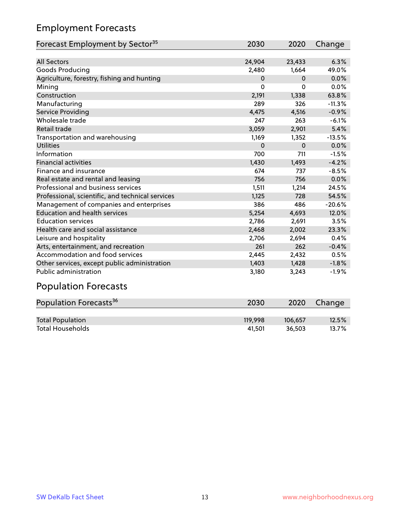# Employment Forecasts

| Forecast Employment by Sector <sup>35</sup>      | 2030     | 2020     | Change   |
|--------------------------------------------------|----------|----------|----------|
|                                                  |          |          |          |
| <b>All Sectors</b>                               | 24,904   | 23,433   | 6.3%     |
| Goods Producing                                  | 2,480    | 1,664    | 49.0%    |
| Agriculture, forestry, fishing and hunting       | 0        | $\Omega$ | 0.0%     |
| Mining                                           | $\Omega$ | 0        | 0.0%     |
| Construction                                     | 2,191    | 1,338    | 63.8%    |
| Manufacturing                                    | 289      | 326      | $-11.3%$ |
| Service Providing                                | 4,475    | 4,516    | $-0.9%$  |
| Wholesale trade                                  | 247      | 263      | $-6.1%$  |
| Retail trade                                     | 3,059    | 2,901    | 5.4%     |
| Transportation and warehousing                   | 1,169    | 1,352    | $-13.5%$ |
| <b>Utilities</b>                                 | $\Omega$ | $\Omega$ | 0.0%     |
| Information                                      | 700      | 711      | $-1.5%$  |
| <b>Financial activities</b>                      | 1,430    | 1,493    | $-4.2%$  |
| Finance and insurance                            | 674      | 737      | $-8.5%$  |
| Real estate and rental and leasing               | 756      | 756      | 0.0%     |
| Professional and business services               | 1,511    | 1,214    | 24.5%    |
| Professional, scientific, and technical services | 1,125    | 728      | 54.5%    |
| Management of companies and enterprises          | 386      | 486      | $-20.6%$ |
| <b>Education and health services</b>             | 5,254    | 4,693    | 12.0%    |
| <b>Education services</b>                        | 2,786    | 2,691    | 3.5%     |
| Health care and social assistance                | 2,468    | 2,002    | 23.3%    |
| Leisure and hospitality                          | 2,706    | 2,694    | 0.4%     |
| Arts, entertainment, and recreation              | 261      | 262      | $-0.4%$  |
| Accommodation and food services                  | 2,445    | 2,432    | 0.5%     |
| Other services, except public administration     | 1,403    | 1,428    | $-1.8%$  |
| Public administration                            | 3,180    | 3,243    | $-1.9%$  |
| .                                                |          |          |          |

#### Population Forecasts

| Population Forecasts <sup>36</sup> | 2030    | 2020    | Change |
|------------------------------------|---------|---------|--------|
|                                    |         |         |        |
| <b>Total Population</b>            | 119.998 | 106.657 | 12.5%  |
| <b>Total Households</b>            | 41.501  | 36.503  | 13.7%  |